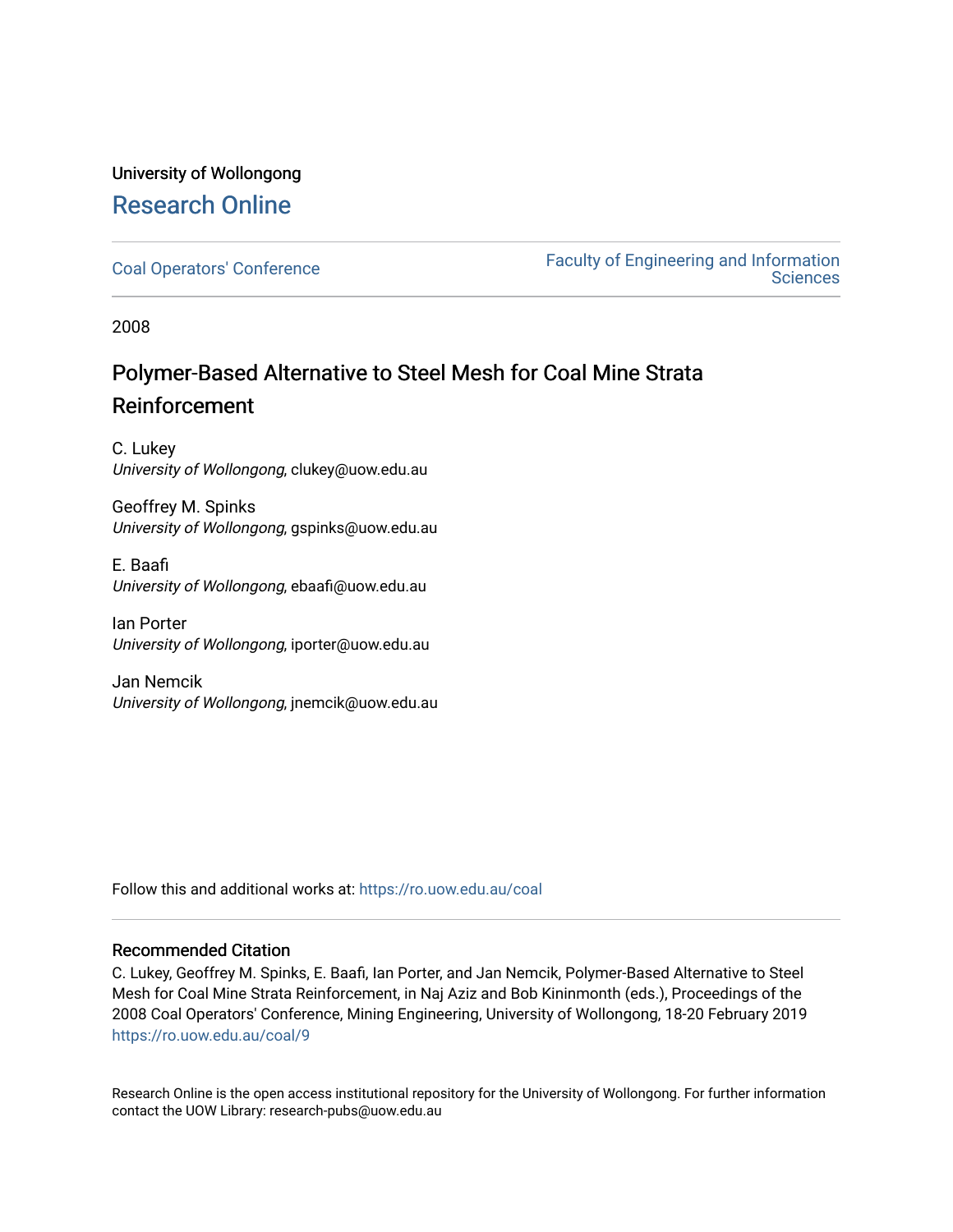## University of Wollongong [Research Online](https://ro.uow.edu.au/)

[Coal Operators' Conference](https://ro.uow.edu.au/coal) [Faculty of Engineering and Information](https://ro.uow.edu.au/eis)  **Sciences** 

2008

## Polymer-Based Alternative to Steel Mesh for Coal Mine Strata Reinforcement

C. Lukey University of Wollongong, clukey@uow.edu.au

Geoffrey M. Spinks University of Wollongong, gspinks@uow.edu.au

E. Baafi University of Wollongong, ebaafi@uow.edu.au

Ian Porter University of Wollongong, iporter@uow.edu.au

Jan Nemcik University of Wollongong, jnemcik@uow.edu.au

Follow this and additional works at: [https://ro.uow.edu.au/coal](https://ro.uow.edu.au/coal?utm_source=ro.uow.edu.au%2Fcoal%2F9&utm_medium=PDF&utm_campaign=PDFCoverPages) 

## Recommended Citation

C. Lukey, Geoffrey M. Spinks, E. Baafi, Ian Porter, and Jan Nemcik, Polymer-Based Alternative to Steel Mesh for Coal Mine Strata Reinforcement, in Naj Aziz and Bob Kininmonth (eds.), Proceedings of the 2008 Coal Operators' Conference, Mining Engineering, University of Wollongong, 18-20 February 2019 [https://ro.uow.edu.au/coal/9](https://ro.uow.edu.au/coal/9?utm_source=ro.uow.edu.au%2Fcoal%2F9&utm_medium=PDF&utm_campaign=PDFCoverPages)

Research Online is the open access institutional repository for the University of Wollongong. For further information contact the UOW Library: research-pubs@uow.edu.au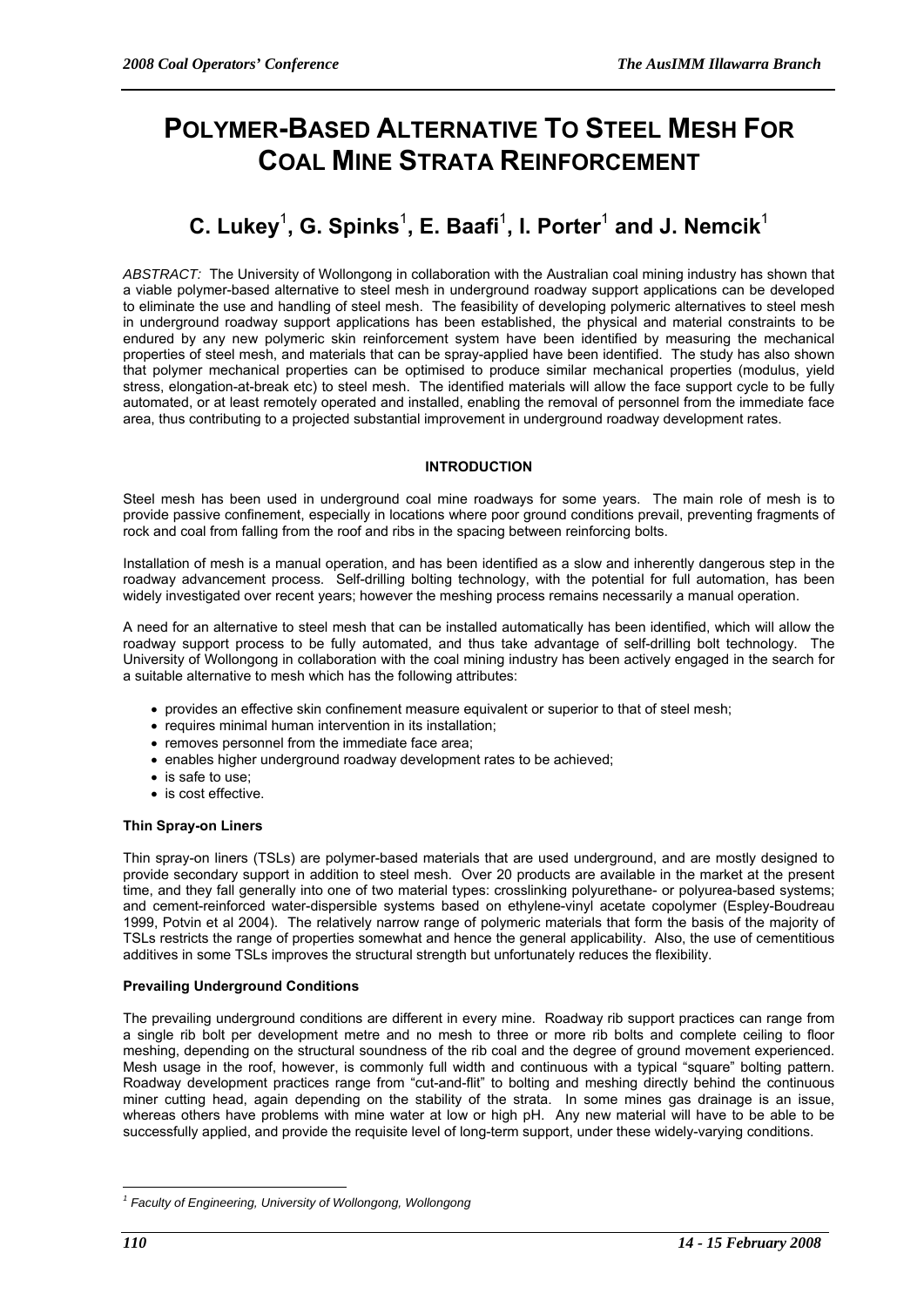# **POLYMER-BASED ALTERNATIVE TO STEEL MESH FOR COAL MINE STRATA REINFORCEMENT**

## $\mathbf{C}.$  Lukey $^1$ , G. Spinks $^1$ , E. Baafi $^1$ , I. Porter $^1$  and J. Nemcik $^1$

*ABSTRACT:* The University of Wollongong in collaboration with the Australian coal mining industry has shown that a viable polymer-based alternative to steel mesh in underground roadway support applications can be developed to eliminate the use and handling of steel mesh. The feasibility of developing polymeric alternatives to steel mesh in underground roadway support applications has been established, the physical and material constraints to be endured by any new polymeric skin reinforcement system have been identified by measuring the mechanical properties of steel mesh, and materials that can be spray-applied have been identified. The study has also shown that polymer mechanical properties can be optimised to produce similar mechanical properties (modulus, yield stress, elongation-at-break etc) to steel mesh. The identified materials will allow the face support cycle to be fully automated, or at least remotely operated and installed, enabling the removal of personnel from the immediate face area, thus contributing to a projected substantial improvement in underground roadway development rates.

#### **INTRODUCTION**

Steel mesh has been used in underground coal mine roadways for some years. The main role of mesh is to provide passive confinement, especially in locations where poor ground conditions prevail, preventing fragments of rock and coal from falling from the roof and ribs in the spacing between reinforcing bolts.

Installation of mesh is a manual operation, and has been identified as a slow and inherently dangerous step in the roadway advancement process. Self-drilling bolting technology, with the potential for full automation, has been widely investigated over recent years; however the meshing process remains necessarily a manual operation.

A need for an alternative to steel mesh that can be installed automatically has been identified, which will allow the roadway support process to be fully automated, and thus take advantage of self-drilling bolt technology. The University of Wollongong in collaboration with the coal mining industry has been actively engaged in the search for a suitable alternative to mesh which has the following attributes:

- provides an effective skin confinement measure equivalent or superior to that of steel mesh;
- requires minimal human intervention in its installation;
- removes personnel from the immediate face area;
- enables higher underground roadway development rates to be achieved;
- is safe to use:
- is cost effective.

## **Thin Spray-on Liners**

Thin spray-on liners (TSLs) are polymer-based materials that are used underground, and are mostly designed to provide secondary support in addition to steel mesh. Over 20 products are available in the market at the present time, and they fall generally into one of two material types: crosslinking polyurethane- or polyurea-based systems; and cement-reinforced water-dispersible systems based on ethylene-vinyl acetate copolymer (Espley-Boudreau 1999, Potvin et al 2004). The relatively narrow range of polymeric materials that form the basis of the majority of TSLs restricts the range of properties somewhat and hence the general applicability. Also, the use of cementitious additives in some TSLs improves the structural strength but unfortunately reduces the flexibility.

## **Prevailing Underground Conditions**

The prevailing underground conditions are different in every mine. Roadway rib support practices can range from a single rib bolt per development metre and no mesh to three or more rib bolts and complete ceiling to floor meshing, depending on the structural soundness of the rib coal and the degree of ground movement experienced. Mesh usage in the roof, however, is commonly full width and continuous with a typical "square" bolting pattern. Roadway development practices range from "cut-and-flit" to bolting and meshing directly behind the continuous miner cutting head, again depending on the stability of the strata. In some mines gas drainage is an issue, whereas others have problems with mine water at low or high pH. Any new material will have to be able to be successfully applied, and provide the requisite level of long-term support, under these widely-varying conditions.

 $\overline{a}$ 

<sup>&</sup>lt;sup>1</sup> Faculty of Engineering, University of Wollongong, Wollongong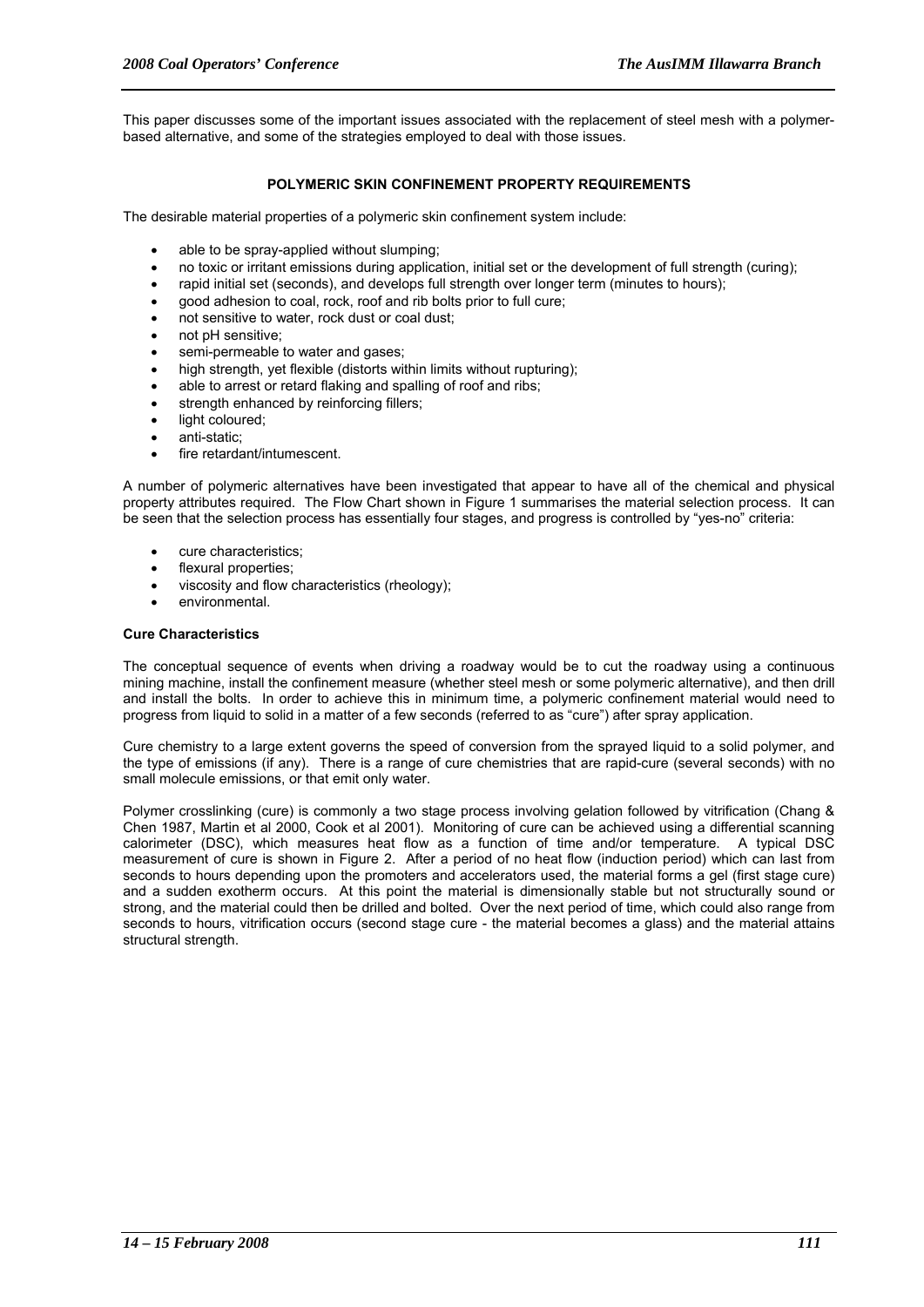This paper discusses some of the important issues associated with the replacement of steel mesh with a polymerbased alternative, and some of the strategies employed to deal with those issues.

## **POLYMERIC SKIN CONFINEMENT PROPERTY REQUIREMENTS**

The desirable material properties of a polymeric skin confinement system include:

- able to be spray-applied without slumping;
- no toxic or irritant emissions during application, initial set or the development of full strength (curing);
- rapid initial set (seconds), and develops full strength over longer term (minutes to hours);
- good adhesion to coal, rock, roof and rib bolts prior to full cure;
- not sensitive to water, rock dust or coal dust:
- not pH sensitive;
- semi-permeable to water and gases;
- high strength, yet flexible (distorts within limits without rupturing);
- able to arrest or retard flaking and spalling of roof and ribs;
- strength enhanced by reinforcing fillers;
- light coloured;
- anti-static;
- fire retardant/intumescent

A number of polymeric alternatives have been investigated that appear to have all of the chemical and physical property attributes required. The Flow Chart shown in Figure 1 summarises the material selection process. It can be seen that the selection process has essentially four stages, and progress is controlled by "yes-no" criteria:

- cure characteristics;
- flexural properties;
- viscosity and flow characteristics (rheology);
- environmental.

#### **Cure Characteristics**

The conceptual sequence of events when driving a roadway would be to cut the roadway using a continuous mining machine, install the confinement measure (whether steel mesh or some polymeric alternative), and then drill and install the bolts. In order to achieve this in minimum time, a polymeric confinement material would need to progress from liquid to solid in a matter of a few seconds (referred to as "cure") after spray application.

Cure chemistry to a large extent governs the speed of conversion from the sprayed liquid to a solid polymer, and the type of emissions (if any). There is a range of cure chemistries that are rapid-cure (several seconds) with no small molecule emissions, or that emit only water.

Polymer crosslinking (cure) is commonly a two stage process involving gelation followed by vitrification (Chang & Chen 1987, Martin et al 2000, Cook et al 2001). Monitoring of cure can be achieved using a differential scanning calorimeter (DSC), which measures heat flow as a function of time and/or temperature. A typical DSC measurement of cure is shown in Figure 2. After a period of no heat flow (induction period) which can last from seconds to hours depending upon the promoters and accelerators used, the material forms a gel (first stage cure) and a sudden exotherm occurs. At this point the material is dimensionally stable but not structurally sound or strong, and the material could then be drilled and bolted. Over the next period of time, which could also range from seconds to hours, vitrification occurs (second stage cure - the material becomes a glass) and the material attains structural strength.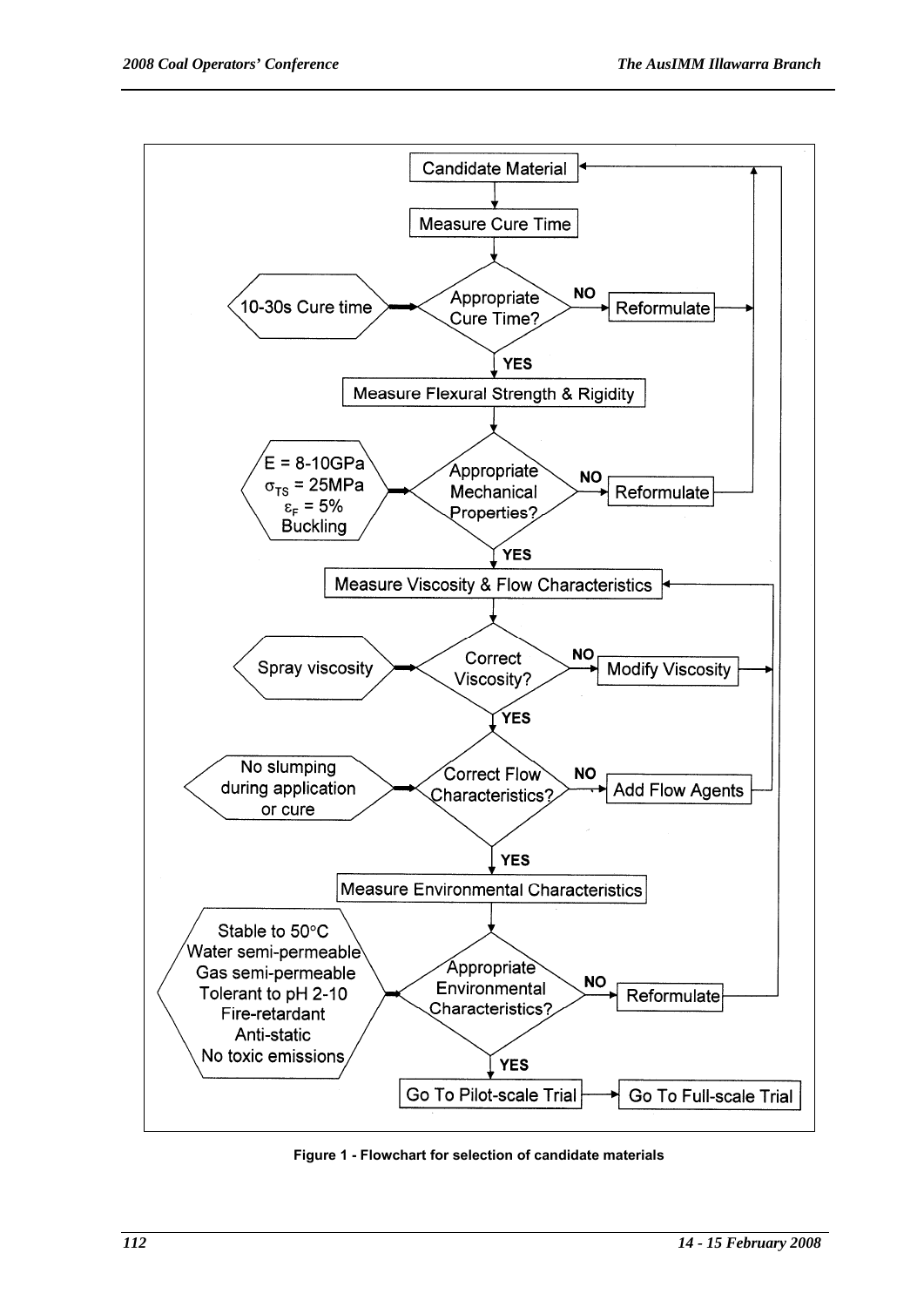

**Figure 1 - Flowchart for selection of candidate materials**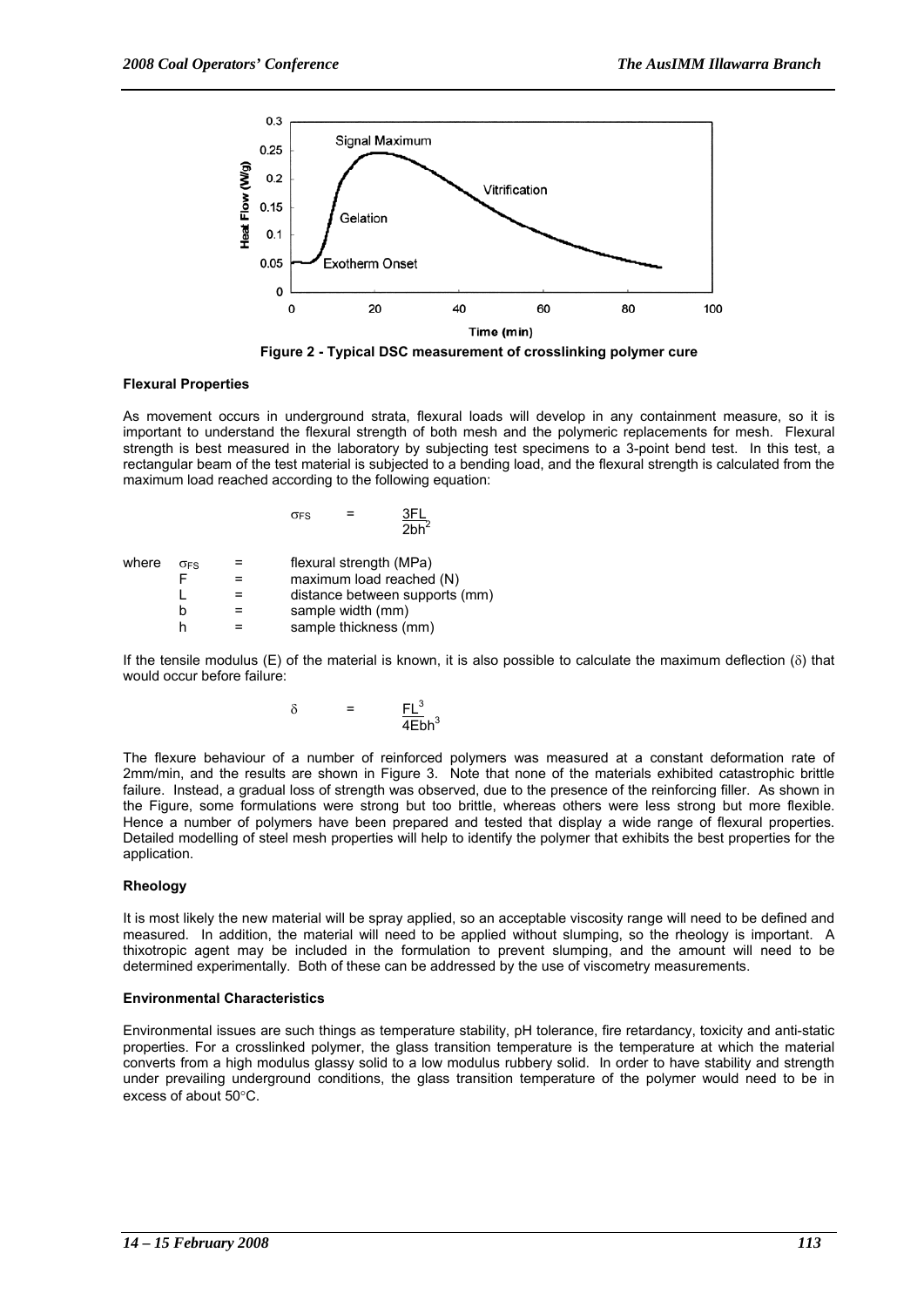

**Figure 2 - Typical DSC measurement of crosslinking polymer cure** 

#### **Flexural Properties**

As movement occurs in underground strata, flexural loads will develop in any containment measure, so it is important to understand the flexural strength of both mesh and the polymeric replacements for mesh. Flexural strength is best measured in the laboratory by subjecting test specimens to a 3-point bend test. In this test, a rectangular beam of the test material is subjected to a bending load, and the flexural strength is calculated from the maximum load reached according to the following equation:

|       |            | 2bh <sup>2</sup>               |
|-------|------------|--------------------------------|
| where | <b>OFS</b> | flexural strength (MPa)        |
|       |            | maximum load reached (N)       |
|       |            | distance between supports (mm) |
|       |            | sample width (mm)              |
|       |            | sample thickness (mm)          |

 $\sigma_{FS}$  = 3FL

If the tensile modulus (E) of the material is known, it is also possible to calculate the maximum deflection ( $\delta$ ) that would occur before failure:

$$
\delta = \frac{FL^3}{4Ebh^3}
$$

The flexure behaviour of a number of reinforced polymers was measured at a constant deformation rate of 2mm/min, and the results are shown in Figure 3. Note that none of the materials exhibited catastrophic brittle failure. Instead, a gradual loss of strength was observed, due to the presence of the reinforcing filler. As shown in the Figure, some formulations were strong but too brittle, whereas others were less strong but more flexible. Hence a number of polymers have been prepared and tested that display a wide range of flexural properties. Detailed modelling of steel mesh properties will help to identify the polymer that exhibits the best properties for the application.

## **Rheology**

It is most likely the new material will be spray applied, so an acceptable viscosity range will need to be defined and measured. In addition, the material will need to be applied without slumping, so the rheology is important. A thixotropic agent may be included in the formulation to prevent slumping, and the amount will need to be determined experimentally. Both of these can be addressed by the use of viscometry measurements.

#### **Environmental Characteristics**

Environmental issues are such things as temperature stability, pH tolerance, fire retardancy, toxicity and anti-static properties. For a crosslinked polymer, the glass transition temperature is the temperature at which the material converts from a high modulus glassy solid to a low modulus rubbery solid. In order to have stability and strength under prevailing underground conditions, the glass transition temperature of the polymer would need to be in excess of about 50°C.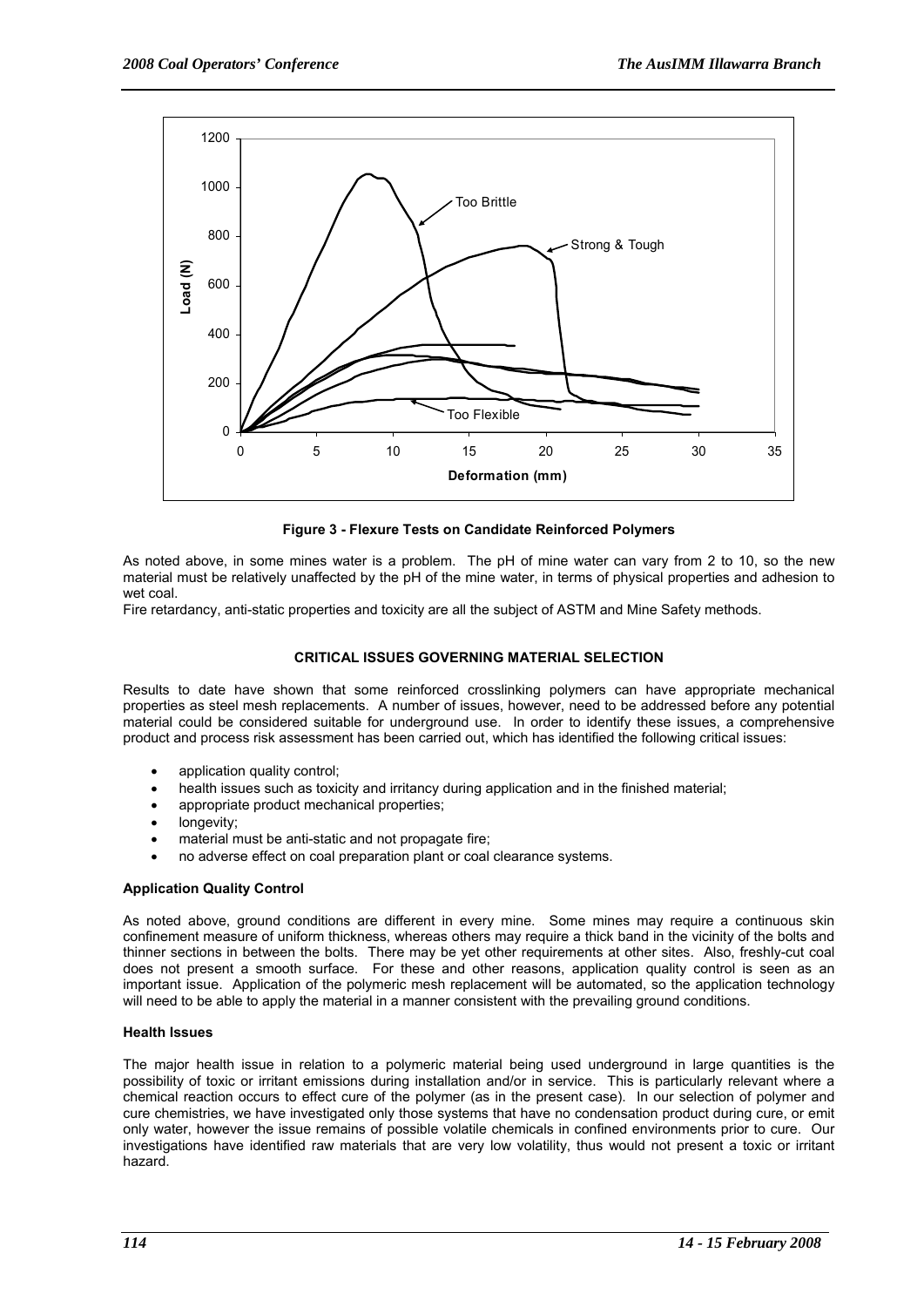

**Figure 3 - Flexure Tests on Candidate Reinforced Polymers** 

As noted above, in some mines water is a problem. The pH of mine water can vary from 2 to 10, so the new material must be relatively unaffected by the pH of the mine water, in terms of physical properties and adhesion to wet coal.

Fire retardancy, anti-static properties and toxicity are all the subject of ASTM and Mine Safety methods.

## **CRITICAL ISSUES GOVERNING MATERIAL SELECTION**

Results to date have shown that some reinforced crosslinking polymers can have appropriate mechanical properties as steel mesh replacements. A number of issues, however, need to be addressed before any potential material could be considered suitable for underground use. In order to identify these issues, a comprehensive product and process risk assessment has been carried out, which has identified the following critical issues:

- application quality control;
- health issues such as toxicity and irritancy during application and in the finished material;
- appropriate product mechanical properties;
- longevity;
- material must be anti-static and not propagate fire;
- no adverse effect on coal preparation plant or coal clearance systems.

## **Application Quality Control**

As noted above, ground conditions are different in every mine. Some mines may require a continuous skin confinement measure of uniform thickness, whereas others may require a thick band in the vicinity of the bolts and thinner sections in between the bolts. There may be yet other requirements at other sites. Also, freshly-cut coal does not present a smooth surface. For these and other reasons, application quality control is seen as an important issue. Application of the polymeric mesh replacement will be automated, so the application technology will need to be able to apply the material in a manner consistent with the prevailing ground conditions.

#### **Health Issues**

The major health issue in relation to a polymeric material being used underground in large quantities is the possibility of toxic or irritant emissions during installation and/or in service. This is particularly relevant where a chemical reaction occurs to effect cure of the polymer (as in the present case). In our selection of polymer and cure chemistries, we have investigated only those systems that have no condensation product during cure, or emit only water, however the issue remains of possible volatile chemicals in confined environments prior to cure. Our investigations have identified raw materials that are very low volatility, thus would not present a toxic or irritant hazard.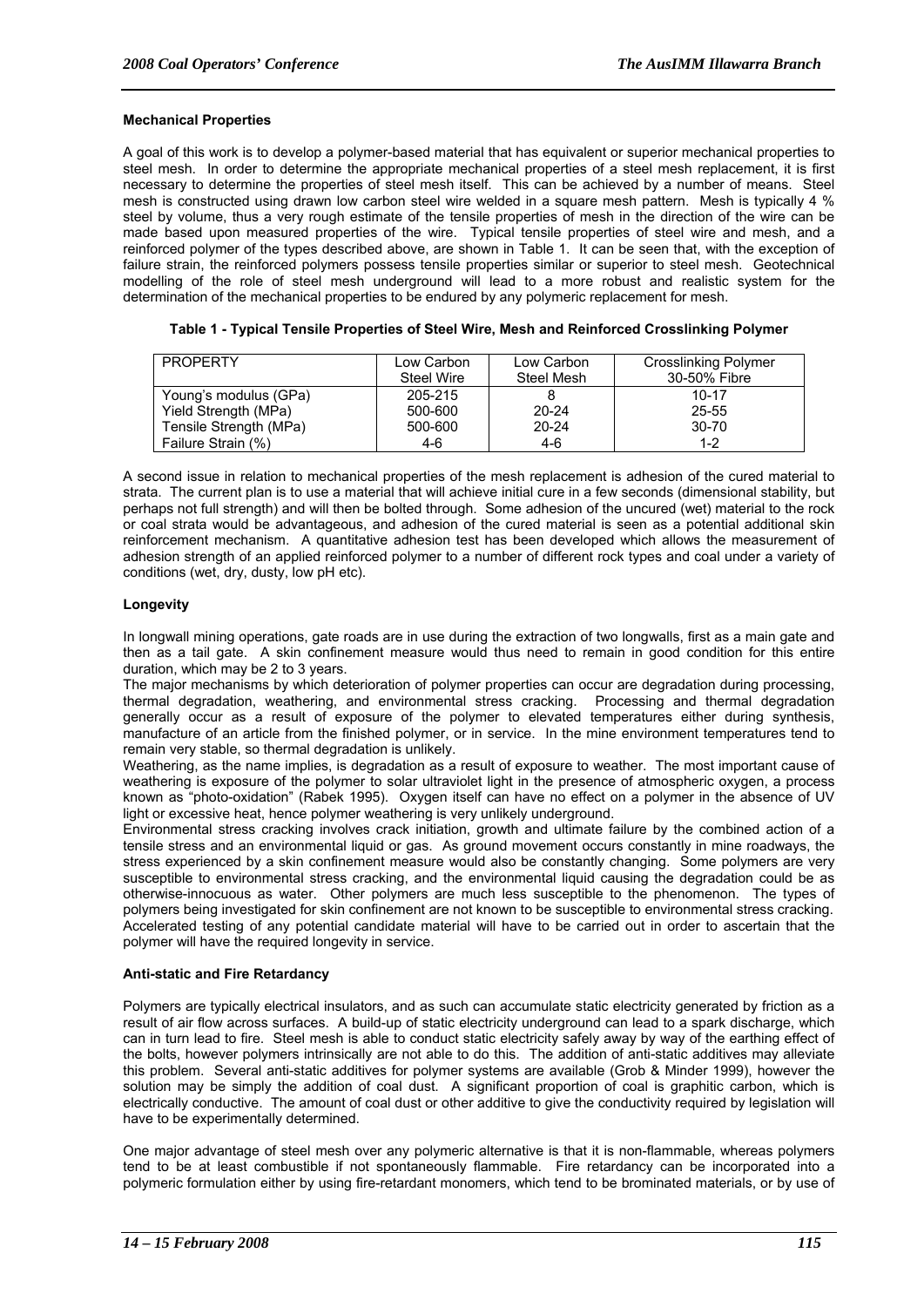#### **Mechanical Properties**

A goal of this work is to develop a polymer-based material that has equivalent or superior mechanical properties to steel mesh. In order to determine the appropriate mechanical properties of a steel mesh replacement, it is first necessary to determine the properties of steel mesh itself. This can be achieved by a number of means. Steel mesh is constructed using drawn low carbon steel wire welded in a square mesh pattern. Mesh is typically 4 % steel by volume, thus a very rough estimate of the tensile properties of mesh in the direction of the wire can be made based upon measured properties of the wire. Typical tensile properties of steel wire and mesh, and a reinforced polymer of the types described above, are shown in Table 1. It can be seen that, with the exception of failure strain, the reinforced polymers possess tensile properties similar or superior to steel mesh. Geotechnical modelling of the role of steel mesh underground will lead to a more robust and realistic system for the determination of the mechanical properties to be endured by any polymeric replacement for mesh.

| <b>PROPERTY</b>        | Low Carbon<br>Steel Wire | Low Carbon<br>Steel Mesh | <b>Crosslinking Polymer</b><br>30-50% Fibre |
|------------------------|--------------------------|--------------------------|---------------------------------------------|
| Young's modulus (GPa)  | 205-215                  |                          | $10 - 17$                                   |
| Yield Strength (MPa)   | 500-600                  | $20 - 24$                | 25-55                                       |
| Tensile Strength (MPa) | 500-600                  | $20 - 24$                | $30 - 70$                                   |
| Failure Strain (%)     | 4-6                      | 4-6                      | 1-2                                         |

| Table 1 - Typical Tensile Properties of Steel Wire, Mesh and Reinforced Crosslinking Polymer |
|----------------------------------------------------------------------------------------------|
|----------------------------------------------------------------------------------------------|

A second issue in relation to mechanical properties of the mesh replacement is adhesion of the cured material to strata. The current plan is to use a material that will achieve initial cure in a few seconds (dimensional stability, but perhaps not full strength) and will then be bolted through. Some adhesion of the uncured (wet) material to the rock or coal strata would be advantageous, and adhesion of the cured material is seen as a potential additional skin reinforcement mechanism. A quantitative adhesion test has been developed which allows the measurement of adhesion strength of an applied reinforced polymer to a number of different rock types and coal under a variety of conditions (wet, dry, dusty, low pH etc).

#### **Longevity**

In longwall mining operations, gate roads are in use during the extraction of two longwalls, first as a main gate and then as a tail gate. A skin confinement measure would thus need to remain in good condition for this entire duration, which may be 2 to 3 years.

The major mechanisms by which deterioration of polymer properties can occur are degradation during processing, thermal degradation, weathering, and environmental stress cracking. Processing and thermal degradation generally occur as a result of exposure of the polymer to elevated temperatures either during synthesis, manufacture of an article from the finished polymer, or in service. In the mine environment temperatures tend to remain very stable, so thermal degradation is unlikely.

Weathering, as the name implies, is degradation as a result of exposure to weather. The most important cause of weathering is exposure of the polymer to solar ultraviolet light in the presence of atmospheric oxygen, a process known as "photo-oxidation" (Rabek 1995). Oxygen itself can have no effect on a polymer in the absence of UV light or excessive heat, hence polymer weathering is very unlikely underground.

Environmental stress cracking involves crack initiation, growth and ultimate failure by the combined action of a tensile stress and an environmental liquid or gas. As ground movement occurs constantly in mine roadways, the stress experienced by a skin confinement measure would also be constantly changing. Some polymers are very susceptible to environmental stress cracking, and the environmental liquid causing the degradation could be as otherwise-innocuous as water. Other polymers are much less susceptible to the phenomenon. The types of polymers being investigated for skin confinement are not known to be susceptible to environmental stress cracking. Accelerated testing of any potential candidate material will have to be carried out in order to ascertain that the polymer will have the required longevity in service.

#### **Anti-static and Fire Retardancy**

Polymers are typically electrical insulators, and as such can accumulate static electricity generated by friction as a result of air flow across surfaces. A build-up of static electricity underground can lead to a spark discharge, which can in turn lead to fire. Steel mesh is able to conduct static electricity safely away by way of the earthing effect of the bolts, however polymers intrinsically are not able to do this. The addition of anti-static additives may alleviate this problem. Several anti-static additives for polymer systems are available (Grob & Minder 1999), however the solution may be simply the addition of coal dust. A significant proportion of coal is graphitic carbon, which is electrically conductive. The amount of coal dust or other additive to give the conductivity required by legislation will have to be experimentally determined.

One major advantage of steel mesh over any polymeric alternative is that it is non-flammable, whereas polymers tend to be at least combustible if not spontaneously flammable. Fire retardancy can be incorporated into a polymeric formulation either by using fire-retardant monomers, which tend to be brominated materials, or by use of